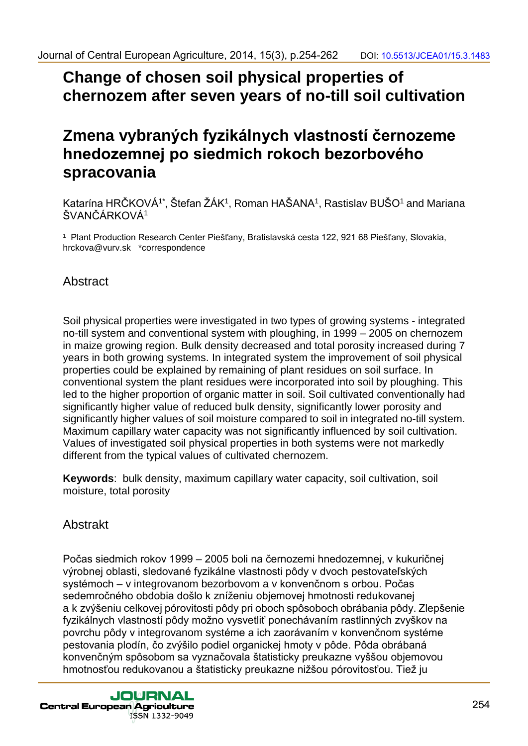# **Change of chosen soil physical properties of chernozem after seven years of no-till soil cultivation**

# **Zmena vybraných fyzikálnych vlastností černozeme hnedozemnej po siedmich rokoch bezorbového spracovania**

Katarína HRČKOVÁ<sup>1\*</sup>, Štefan ŽÁK<sup>1</sup>, Roman HAŠANA<sup>1</sup>, Rastislav BUŠO<sup>1</sup> and Mariana ŠVANČÁRKOVÁ<sup>1</sup>

<sup>1</sup> Plant Production Research Center Piešťany, Bratislavská cesta 122, 921 68 Piešťany, Slovakia, hrckova@vurv.sk \*correspondence

## Abstract

Soil physical properties were investigated in two types of growing systems - integrated no-till system and conventional system with ploughing, in 1999 – 2005 on chernozem in maize growing region. Bulk density decreased and total porosity increased during 7 years in both growing systems. In integrated system the improvement of soil physical properties could be explained by remaining of plant residues on soil surface. In conventional system the plant residues were incorporated into soil by ploughing. This led to the higher proportion of organic matter in soil. Soil cultivated conventionally had significantly higher value of reduced bulk density, significantly lower porosity and significantly higher values of soil moisture compared to soil in integrated no-till system. Maximum capillary water capacity was not significantly influenced by soil cultivation. Values of investigated soil physical properties in both systems were not markedly different from the typical values of cultivated chernozem.

**Keywords**: bulk density, maximum capillary water capacity, soil cultivation, soil moisture, total porosity

## Abstrakt

Počas siedmich rokov 1999 – 2005 boli na černozemi hnedozemnej, v kukuričnej výrobnej oblasti, sledované fyzikálne vlastnosti pôdy v dvoch pestovateľských systémoch – v integrovanom bezorbovom a v konvenčnom s orbou. Počas sedemročného obdobia došlo k zníženiu objemovej hmotnosti redukovanej a k zvýšeniu celkovej pórovitosti pôdy pri oboch spôsoboch obrábania pôdy. Zlepšenie fyzikálnych vlastností pôdy možno vysvetliť ponechávaním rastlinných zvyškov na povrchu pôdy v integrovanom systéme a ich zaorávaním v konvenčnom systéme pestovania plodín, čo zvýšilo podiel organickej hmoty v pôde. Pôda obrábaná konvenčným spôsobom sa vyznačovala štatisticky preukazne vyššou objemovou hmotnosťou redukovanou a štatisticky preukazne nižšou pórovitosťou. Tiež ju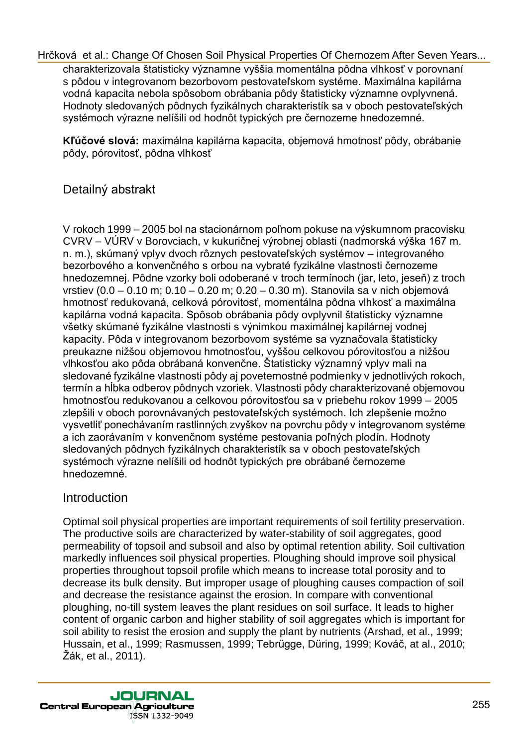charakterizovala štatisticky významne vyššia momentálna pôdna vlhkosť v porovnaní s pôdou v integrovanom bezorbovom pestovateľskom systéme. Maximálna kapilárna vodná kapacita nebola spôsobom obrábania pôdy štatisticky významne ovplyvnená. Hodnoty sledovaných pôdnych fyzikálnych charakteristík sa v oboch pestovateľských systémoch výrazne nelíšili od hodnôt typických pre černozeme hnedozemné.

**Kľúčové slová:** maximálna kapilárna kapacita, objemová hmotnosť pôdy, obrábanie pôdy, pórovitosť, pôdna vlhkosť

## Detailný abstrakt

V rokoch 1999 – 2005 bol na stacionárnom poľnom pokuse na výskumnom pracovisku CVRV – VÚRV v Borovciach, v kukuričnej výrobnej oblasti (nadmorská výška 167 m. n. m.), skúmaný vplyv dvoch rôznych pestovateľských systémov – integrovaného bezorbového a konvenčného s orbou na vybraté fyzikálne vlastnosti černozeme hnedozemnej. Pôdne vzorky boli odoberané v troch termínoch (jar, leto, jeseň) z troch vrstiev (0.0 – 0.10 m; 0.10 – 0.20 m; 0.20 – 0.30 m). Stanovila sa v nich objemová hmotnosť redukovaná, celková pórovitosť, momentálna pôdna vlhkosť a maximálna kapilárna vodná kapacita. Spôsob obrábania pôdy ovplyvnil štatisticky významne všetky skúmané fyzikálne vlastnosti s výnimkou maximálnej kapilárnej vodnej kapacity. Pôda v integrovanom bezorbovom systéme sa vyznačovala štatisticky preukazne nižšou objemovou hmotnosťou, vyššou celkovou pórovitosťou a nižšou vlhkosťou ako pôda obrábaná konvenčne. Štatisticky významný vplyv mali na sledované fyzikálne vlastnosti pôdy aj poveternostné podmienky v jednotlivých rokoch, termín a hĺbka odberov pôdnych vzoriek. Vlastnosti pôdy charakterizované objemovou hmotnosťou redukovanou a celkovou pórovitosťou sa v priebehu rokov 1999 – 2005 zlepšili v oboch porovnávaných pestovateľských systémoch. Ich zlepšenie možno vysvetliť ponechávaním rastlinných zvyškov na povrchu pôdy v integrovanom systéme a ich zaorávaním v konvenčnom systéme pestovania poľných plodín. Hodnoty sledovaných pôdnych fyzikálnych charakteristík sa v oboch pestovateľských systémoch výrazne nelíšili od hodnôt typických pre obrábané černozeme hnedozemné.

### Introduction

Optimal soil physical properties are important requirements of soil fertility preservation. The productive soils are characterized by water-stability of soil aggregates, good permeability of topsoil and subsoil and also by optimal retention ability. Soil cultivation markedly influences soil physical properties. Ploughing should improve soil physical properties throughout topsoil profile which means to increase total porosity and to decrease its bulk density. But improper usage of ploughing causes compaction of soil and decrease the resistance against the erosion. In compare with conventional ploughing, no-till system leaves the plant residues on soil surface. It leads to higher content of organic carbon and higher stability of soil aggregates which is important for soil ability to resist the erosion and supply the plant by nutrients (Arshad, et al., 1999; Hussain, et al., 1999; Rasmussen, 1999; Tebrügge, Düring, 1999; Kováč, at al., 2010; Žák, et al., 2011).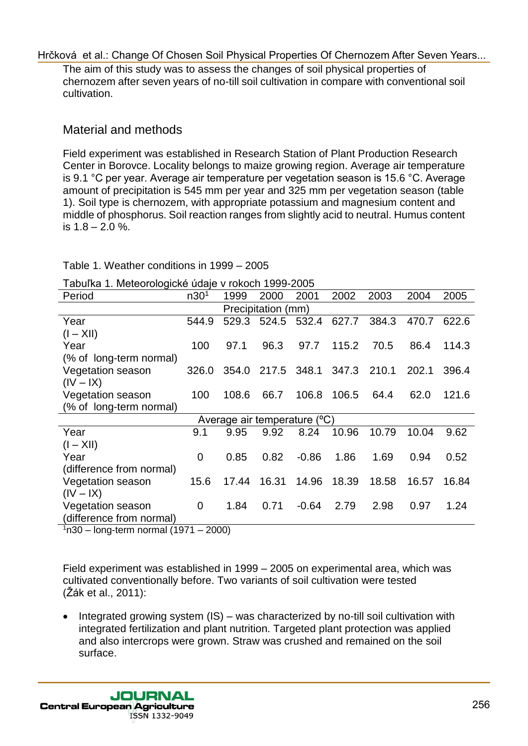The aim of this study was to assess the changes of soil physical properties of chernozem after seven years of no-till soil cultivation in compare with conventional soil cultivation.

## Material and methods

Field experiment was established in Research Station of Plant Production Research Center in Borovce. Locality belongs to maize growing region. Average air temperature is 9.1 °C per year. Average air temperature per vegetation season is 15.6 °C. Average amount of precipitation is 545 mm per year and 325 mm per vegetation season (table 1). Soil type is chernozem, with appropriate potassium and magnesium content and middle of phosphorus. Soil reaction ranges from slightly acid to neutral. Humus content is  $1.8 - 2.0 \%$ .

Table 1. Weather conditions in 1999 – 2005

| Tabuľka 1. Meteorologické údaje v rokoch 1999-2005 |  |  |
|----------------------------------------------------|--|--|
|                                                    |  |  |

| Period                       | n30 <sup>1</sup> | 1999  | 2000        | 2001    | 2002  | 2003  | 2004  | 2005  |  |
|------------------------------|------------------|-------|-------------|---------|-------|-------|-------|-------|--|
| Precipitation (mm)           |                  |       |             |         |       |       |       |       |  |
| Year                         | 544.9            | 529.3 | 524.5       | 532.4   | 627.7 | 384.3 | 470.7 | 622.6 |  |
| $(I - XII)$                  |                  |       |             |         |       |       |       |       |  |
| Year                         | 100              | 97.1  | 96.3        | 97.7    | 115.2 | 70.5  | 86.4  | 114.3 |  |
| (% of long-term normal)      |                  |       |             |         |       |       |       |       |  |
| Vegetation season            | 326.0            | 354.0 | 217.5 348.1 |         | 347.3 | 210.1 | 202.1 | 396.4 |  |
| $(IV - IX)$                  |                  |       |             |         |       |       |       |       |  |
| Vegetation season            | 100              | 108.6 | 66.7        | 106.8   | 106.5 | 64.4  | 62.0  | 121.6 |  |
| (% of long-term normal)      |                  |       |             |         |       |       |       |       |  |
| Average air temperature (°C) |                  |       |             |         |       |       |       |       |  |
| Year                         | 9.1              | 9.95  | 9.92        | 8.24    | 10.96 | 10.79 | 10.04 | 9.62  |  |
| $(I - XII)$                  |                  |       |             |         |       |       |       |       |  |
| Year                         | $\Omega$         | 0.85  | 0.82        | $-0.86$ | 1.86  | 1.69  | 0.94  | 0.52  |  |
| (difference from normal)     |                  |       |             |         |       |       |       |       |  |
| Vegetation season            | 15.6             | 17.44 | 16.31       | 14.96   | 18.39 | 18.58 | 16.57 | 16.84 |  |
| $(IV - IX)$                  |                  |       |             |         |       |       |       |       |  |
| Vegetation season            | $\Omega$         | 1.84  | 0.71        | $-0.64$ | 2.79  | 2.98  | 0.97  | 1.24  |  |
| (difference from normal)     |                  |       |             |         |       |       |       |       |  |

 $1n30 -$  long-term normal (1971 – 2000)

Field experiment was established in 1999 – 2005 on experimental area, which was cultivated conventionally before. Two variants of soil cultivation were tested (Žák et al., 2011):

 Integrated growing system (IS) – was characterized by no-till soil cultivation with integrated fertilization and plant nutrition. Targeted plant protection was applied and also intercrops were grown. Straw was crushed and remained on the soil surface.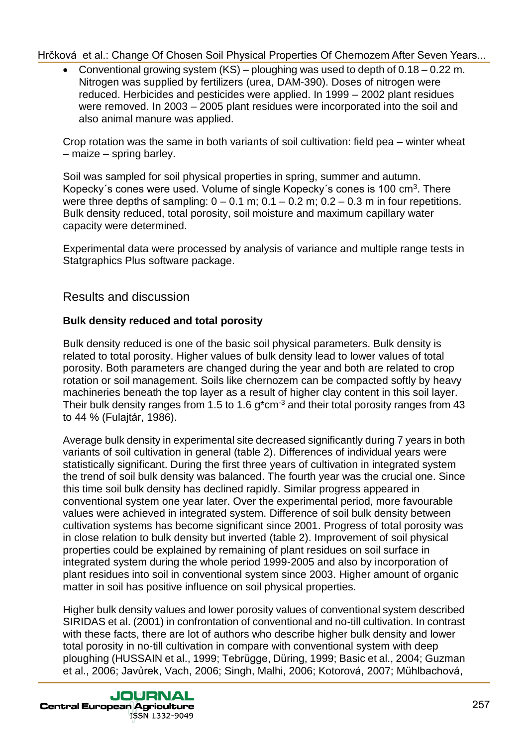Conventional growing system (KS) – ploughing was used to depth of 0.18 – 0.22 m. Nitrogen was supplied by fertilizers (urea, DAM-390). Doses of nitrogen were reduced. Herbicides and pesticides were applied. In 1999 – 2002 plant residues were removed. In 2003 – 2005 plant residues were incorporated into the soil and also animal manure was applied.

Crop rotation was the same in both variants of soil cultivation: field pea – winter wheat – maize – spring barley.

Soil was sampled for soil physical properties in spring, summer and autumn. Kopecky's cones were used. Volume of single Kopecky's cones is 100 cm<sup>3</sup>. There were three depths of sampling:  $0 - 0.1$  m;  $0.1 - 0.2$  m;  $0.2 - 0.3$  m in four repetitions. Bulk density reduced, total porosity, soil moisture and maximum capillary water capacity were determined.

Experimental data were processed by analysis of variance and multiple range tests in Statgraphics Plus software package.

Results and discussion

### **Bulk density reduced and total porosity**

Bulk density reduced is one of the basic soil physical parameters. Bulk density is related to total porosity. Higher values of bulk density lead to lower values of total porosity. Both parameters are changed during the year and both are related to crop rotation or soil management. Soils like chernozem can be compacted softly by heavy machineries beneath the top layer as a result of higher clay content in this soil layer. Their bulk density ranges from 1.5 to 1.6 g<sup>\*</sup>cm<sup>-3</sup> and their total porosity ranges from 43 to 44 % (Fulajtár, 1986).

Average bulk density in experimental site decreased significantly during 7 years in both variants of soil cultivation in general (table 2). Differences of individual years were statistically significant. During the first three years of cultivation in integrated system the trend of soil bulk density was balanced. The fourth year was the crucial one. Since this time soil bulk density has declined rapidly. Similar progress appeared in conventional system one year later. Over the experimental period, more favourable values were achieved in integrated system. Difference of soil bulk density between cultivation systems has become significant since 2001. Progress of total porosity was in close relation to bulk density but inverted (table 2). Improvement of soil physical properties could be explained by remaining of plant residues on soil surface in integrated system during the whole period 1999-2005 and also by incorporation of plant residues into soil in conventional system since 2003. Higher amount of organic matter in soil has positive influence on soil physical properties.

Higher bulk density values and lower porosity values of conventional system described SIRIDAS et al. (2001) in confrontation of conventional and no-till cultivation. In contrast with these facts, there are lot of authors who describe higher bulk density and lower total porosity in no-till cultivation in compare with conventional system with deep ploughing (HUSSAIN et al., 1999; Tebrügge, Düring, 1999; Basic et al., 2004; Guzman et al., 2006; Javůrek, Vach, 2006; Singh, Malhi, 2006; Kotorová, 2007; Mühlbachová,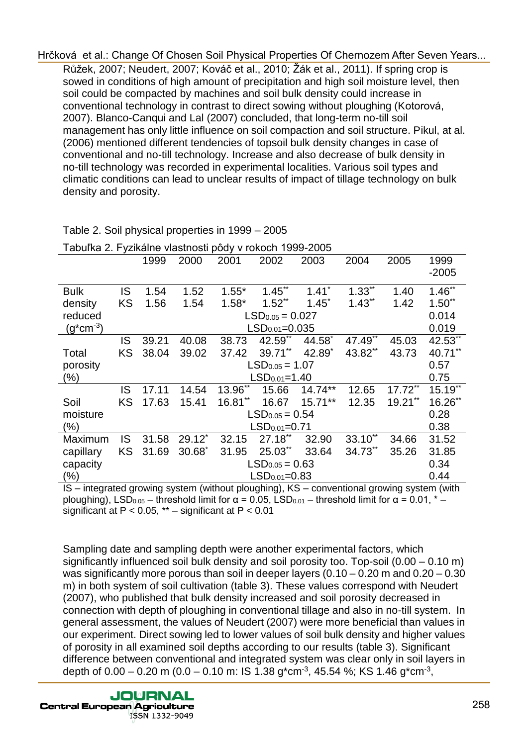Růžek, 2007; Neudert, 2007; Kováč et al., 2010; Žák et al., 2011). If spring crop is sowed in conditions of high amount of precipitation and high soil moisture level, then soil could be compacted by machines and soil bulk density could increase in conventional technology in contrast to direct sowing without ploughing (Kotorová, 2007). Blanco-Canqui and Lal (2007) concluded, that long-term no-till soil management has only little influence on soil compaction and soil structure. Pikul, at al. (2006) mentioned different tendencies of topsoil bulk density changes in case of conventional and no-till technology. Increase and also decrease of bulk density in no-till technology was recorded in experimental localities. Various soil types and climatic conditions can lead to unclear results of impact of tillage technology on bulk density and porosity.

|                     |                  | 1999                     | 2000      | 2001                   | 2002                 | 2003      | 2004                 | 2005       | 1999<br>$-2005$ |  |  |
|---------------------|------------------|--------------------------|-----------|------------------------|----------------------|-----------|----------------------|------------|-----------------|--|--|
| <b>Bulk</b>         | IS               | 1.54                     | 1.52      | $1.55*$                | $1.45$ <sup>**</sup> | 1.41      | $1.33^{**}$          | 1.40       | $1.46^{**}$     |  |  |
| density             | <b>KS</b>        | 1.56                     | 1.54      | $1.58*$                | $1.52**$             | $1.45^*$  | $1.43$ <sup>**</sup> | 1.42       | $1.50**$        |  |  |
| reduced             |                  |                          |           |                        | $LSD0.05 = 0.027$    |           |                      |            | 0.014           |  |  |
| $(g^{\ast}cm^{-3})$ |                  |                          |           |                        | $LSD0.01=0.035$      |           |                      |            | 0.019           |  |  |
|                     | IS               | 39.21                    | 40.08     | 38.73                  | 42.59**              | 44.58*    | $47.49$ **           | 45.03      | 42.53**         |  |  |
| Total               | <b>KS</b>        | 38.04                    | 39.02     | 37.42                  | 39.71**              | 42.89     | 43.82**              | 43.73      | 40.71**         |  |  |
| porosity            |                  | $LSD0.05 = 1.07$         |           |                        |                      |           |                      |            |                 |  |  |
| (%)                 |                  |                          |           | $LSD0.01=1.40$         |                      |           |                      |            |                 |  |  |
|                     | IS               | 17.11                    | 14.54     | $13.96$ **             | 15.66                | $14.74**$ | 12.65                | $17.72***$ | $15.19$ **      |  |  |
| Soil                | <b>KS</b>        | 17.63                    | 15.41     | $16.81**$              | 16.67                | $15.71**$ | 12.35                | $19.21$ ** | $16.26$ **      |  |  |
| moisture            |                  | 0.28<br>$LSD0.05 = 0.54$ |           |                        |                      |           |                      |            |                 |  |  |
| $(\%)$              |                  |                          |           | 0.38<br>$LSD0.01=0.71$ |                      |           |                      |            |                 |  |  |
| Maximum             | IS               | 31.58                    | $29.12$ * | 32.15                  | $27.18**$            | 32.90     | 33.10**              | 34.66      | 31.52           |  |  |
| capillary           | <b>KS</b>        | 31.69                    | $30.68^*$ | 31.95                  | 25.03**              | 33.64     | 34.73**              | 35.26      | 31.85           |  |  |
| capacity            | $LSD0.05 = 0.63$ |                          |           |                        |                      |           |                      |            | 0.34            |  |  |
| $(\% )$             | $LSD0.01=0.83$   |                          |           |                        |                      |           |                      |            | 0.44            |  |  |

Table 2. Soil physical properties in 1999 – 2005

Tabuľka 2. Fyzikálne vlastnosti pôdy v rokoch 1999-2005

IS – integrated growing system (without ploughing), KS – conventional growing system (with ploughing), LSD<sub>0.05</sub> – threshold limit for  $\alpha$  = 0.05, LSD<sub>0.01</sub> – threshold limit for  $\alpha$  = 0.01,  $^*$  – significant at  $P < 0.05$ , \*\* – significant at  $P < 0.01$ 

Sampling date and sampling depth were another experimental factors, which significantly influenced soil bulk density and soil porosity too. Top-soil (0.00 – 0.10 m) was significantly more porous than soil in deeper layers  $(0.10 - 0.20$  m and  $0.20 - 0.30$ m) in both system of soil cultivation (table 3). These values correspond with Neudert (2007), who published that bulk density increased and soil porosity decreased in connection with depth of ploughing in conventional tillage and also in no-till system. In general assessment, the values of Neudert (2007) were more beneficial than values in our experiment. Direct sowing led to lower values of soil bulk density and higher values of porosity in all examined soil depths according to our results (table 3). Significant difference between conventional and integrated system was clear only in soil layers in depth of 0.00 – 0.20 m (0.0 – 0.10 m: IS 1.38 g\*cm<sup>-3</sup>, 45.54 %; KS 1.46 g\*cm<sup>-3</sup>,

**JOURNAL Central European Agriculture** ISSN 1332-9049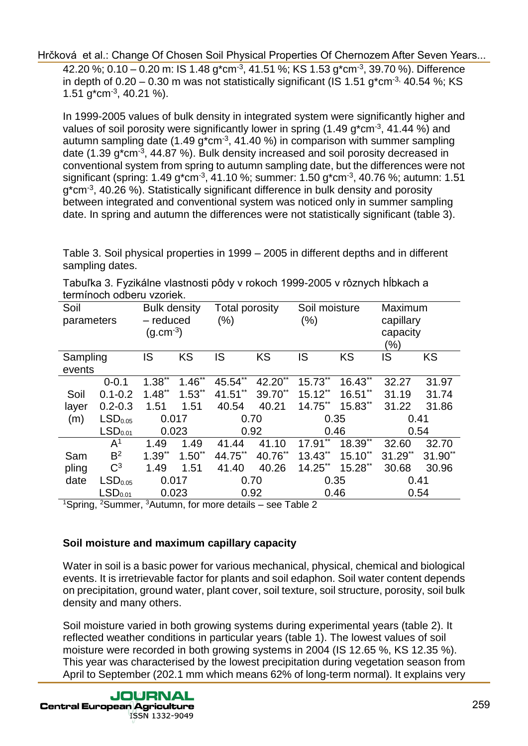42.20 %; 0.10 – 0.20 m: IS 1.48 g\*cm<sup>-3</sup>, 41.51 %; KS 1.53 g\*cm<sup>-3</sup>, 39.70 %). Difference in depth of  $0.20 - 0.30$  m was not statistically significant (IS 1.51 g<sup>\*</sup>cm<sup>-3,</sup> 40.54 %; KS 1.51  $g^*$ cm<sup>-3</sup>, 40.21 %).

In 1999-2005 values of bulk density in integrated system were significantly higher and values of soil porosity were significantly lower in spring (1.49 g<sup>\*</sup>cm<sup>-3</sup>, 41.44 %) and autumn sampling date (1.49 g\*cm<sup>-3</sup>, 41.40 %) in comparison with summer sampling date (1.39 g\*cm<sup>-3</sup>, 44.87 %). Bulk density increased and soil porosity decreased in conventional system from spring to autumn sampling date, but the differences were not significant (spring: 1.49 g\*cm<sup>-3</sup>, 41.10 %; summer: 1.50 g\*cm<sup>-3</sup>, 40.76 %; autumn: 1.51 g<sup>\*</sup>cm<sup>-3</sup>, 40.26 %). Statistically significant difference in bulk density and porosity between integrated and conventional system was noticed only in summer sampling date. In spring and autumn the differences were not statistically significant (table 3).

Table 3. Soil physical properties in 1999 – 2005 in different depths and in different sampling dates.

| ich moch oabcha vzoncin. |                     |                     |             |                |            |               |           |           |            |  |
|--------------------------|---------------------|---------------------|-------------|----------------|------------|---------------|-----------|-----------|------------|--|
| Soil                     |                     | <b>Bulk density</b> |             | Total porosity |            | Soil moisture |           | Maximum   |            |  |
| parameters               |                     | - reduced           |             | $(\% )$        |            | (% )          |           | capillary |            |  |
|                          |                     | $(g.cm^{-3})$       |             |                |            |               |           | capacity  |            |  |
|                          |                     |                     |             |                |            |               |           | (%)       |            |  |
| Sampling                 |                     | IS                  | <b>KS</b>   | IS             | KS         | IS            | <b>KS</b> | IS        | <b>KS</b>  |  |
| events                   |                     |                     |             |                |            |               |           |           |            |  |
|                          | $0 - 0.1$           | $1.38^{**}$         | $1.46$ **   | $45.54$ **     | $42.20$ ** | 15.73**       | 16.43**   | 32.27     | 31.97      |  |
| Soil                     | $0.1 - 0.2$         | $1.48**$            | $1.53$ **   | $41.51***$     | 39.70**    | $15.12**$     | $16.51**$ | 31.19     | 31.74      |  |
| layer                    | $0.2 - 0.3$         | 1.51                | 1.51        | 40.54          | 40.21      | $14.75$ **    | $15.83**$ | 31.22     | 31.86      |  |
| (m)                      | LSD <sub>0.05</sub> | 0.017               |             | 0.70           |            | 0.35          |           | 0.41      |            |  |
|                          | LSD <sub>0.01</sub> | 0.023               |             | 0.92           |            | 0.46          |           | 0.54      |            |  |
|                          | $\mathsf{A}^1$      | 1.49                | 1.49        | 41.44          | 41.10      | 17.91         | 18.39**   | 32.60     | 32.70      |  |
| Sam                      | B <sup>2</sup>      | $1.39**$            | $1.50^{**}$ | 44.75**        | 40.76**    | 13.43**       | $15.10**$ | $31.29**$ | $31.90$ ** |  |
| pling                    | $C^3$               | 1.49                | 1.51        | 41.40          | 40.26      | $14.25**$     | 15.28**   | 30.68     | 30.96      |  |
| date                     | LSD <sub>0.05</sub> |                     | 0.017       |                | 0.70       |               | 0.35      |           | 0.41       |  |
|                          | LSD <sub>0.01</sub> | 0.023               |             | 0.92           |            | 0.46          |           | 0.54      |            |  |

Tabuľka 3. Fyzikálne vlastnosti pôdy v rokoch 1999-2005 v rôznych hĺbkach a termínoch odberu vzoriek.

<sup>1</sup>Spring, <sup>2</sup>Summer, <sup>3</sup>Autumn, for more details – see Table 2

#### **Soil moisture and maximum capillary capacity**

Water in soil is a basic power for various mechanical, physical, chemical and biological events. It is irretrievable factor for plants and soil edaphon. Soil water content depends on precipitation, ground water, plant cover, soil texture, soil structure, porosity, soil bulk density and many others.

Soil moisture varied in both growing systems during experimental years (table 2). It reflected weather conditions in particular years (table 1). The lowest values of soil moisture were recorded in both growing systems in 2004 (IS 12.65 %, KS 12.35 %). This year was characterised by the lowest precipitation during vegetation season from April to September (202.1 mm which means 62% of long-term normal). It explains very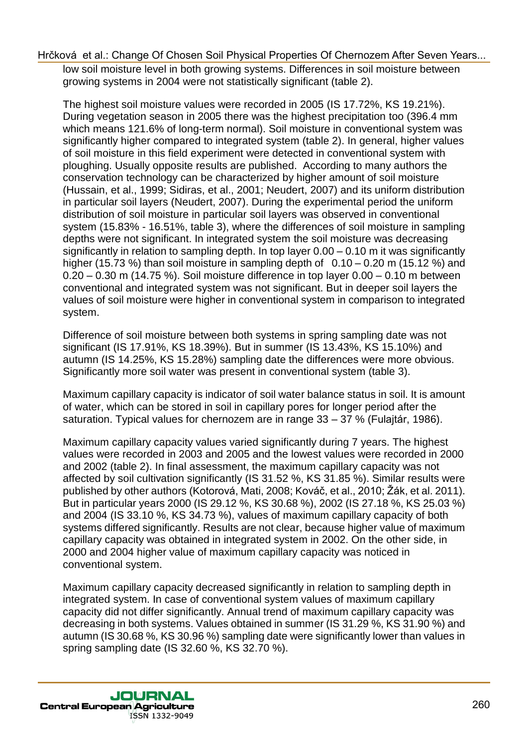low soil moisture level in both growing systems. Differences in soil moisture between growing systems in 2004 were not statistically significant (table 2).

The highest soil moisture values were recorded in 2005 (IS 17.72%, KS 19.21%). During vegetation season in 2005 there was the highest precipitation too (396.4 mm which means 121.6% of long-term normal). Soil moisture in conventional system was significantly higher compared to integrated system (table 2). In general, higher values of soil moisture in this field experiment were detected in conventional system with ploughing. Usually opposite results are published. According to many authors the conservation technology can be characterized by higher amount of soil moisture (Hussain, et al., 1999; Sidiras, et al., 2001; Neudert, 2007) and its uniform distribution in particular soil layers (Neudert, 2007). During the experimental period the uniform distribution of soil moisture in particular soil layers was observed in conventional system (15.83% - 16.51%, table 3), where the differences of soil moisture in sampling depths were not significant. In integrated system the soil moisture was decreasing significantly in relation to sampling depth. In top layer 0.00 – 0.10 m it was significantly higher (15.73 %) than soil moisture in sampling depth of  $0.10 - 0.20$  m (15.12 %) and 0.20 – 0.30 m (14.75 %). Soil moisture difference in top layer 0.00 – 0.10 m between conventional and integrated system was not significant. But in deeper soil layers the values of soil moisture were higher in conventional system in comparison to integrated system.

Difference of soil moisture between both systems in spring sampling date was not significant (IS 17.91%, KS 18.39%). But in summer (IS 13.43%, KS 15.10%) and autumn (IS 14.25%, KS 15.28%) sampling date the differences were more obvious. Significantly more soil water was present in conventional system (table 3).

Maximum capillary capacity is indicator of soil water balance status in soil. It is amount of water, which can be stored in soil in capillary pores for longer period after the saturation. Typical values for chernozem are in range 33 – 37 % (Fulajtár, 1986).

Maximum capillary capacity values varied significantly during 7 years. The highest values were recorded in 2003 and 2005 and the lowest values were recorded in 2000 and 2002 (table 2). In final assessment, the maximum capillary capacity was not affected by soil cultivation significantly (IS 31.52 %, KS 31.85 %). Similar results were published by other authors (Kotorová, Mati, 2008; Kováč, et al., 2010; Žák, et al. 2011). But in particular years 2000 (IS 29.12 %, KS 30.68 %), 2002 (IS 27.18 %, KS 25.03 %) and 2004 (IS 33.10 %, KS 34.73 %), values of maximum capillary capacity of both systems differed significantly. Results are not clear, because higher value of maximum capillary capacity was obtained in integrated system in 2002. On the other side, in 2000 and 2004 higher value of maximum capillary capacity was noticed in conventional system.

Maximum capillary capacity decreased significantly in relation to sampling depth in integrated system. In case of conventional system values of maximum capillary capacity did not differ significantly. Annual trend of maximum capillary capacity was decreasing in both systems. Values obtained in summer (IS 31.29 %, KS 31.90 %) and autumn (IS 30.68 %, KS 30.96 %) sampling date were significantly lower than values in spring sampling date (IS 32.60 %, KS 32.70 %).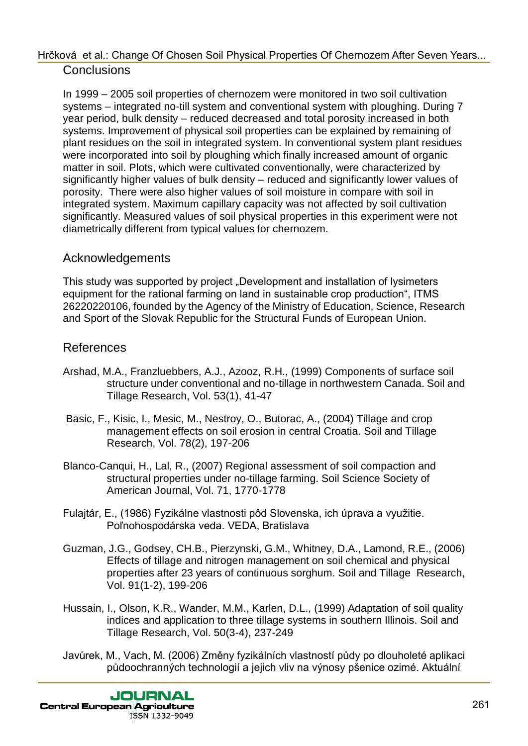In 1999 – 2005 soil properties of chernozem were monitored in two soil cultivation systems – integrated no-till system and conventional system with ploughing. During 7 year period, bulk density – reduced decreased and total porosity increased in both systems. Improvement of physical soil properties can be explained by remaining of plant residues on the soil in integrated system. In conventional system plant residues were incorporated into soil by ploughing which finally increased amount of organic matter in soil. Plots, which were cultivated conventionally, were characterized by significantly higher values of bulk density – reduced and significantly lower values of porosity. There were also higher values of soil moisture in compare with soil in integrated system. Maximum capillary capacity was not affected by soil cultivation significantly. Measured values of soil physical properties in this experiment were not diametrically different from typical values for chernozem.

## Acknowledgements

This study was supported by project "Development and installation of lysimeters equipment for the rational farming on land in sustainable crop production", ITMS 26220220106, founded by the Agency of the Ministry of Education, Science, Research and Sport of the Slovak Republic for the Structural Funds of European Union.

## References

- Arshad, M.A., Franzluebbers, A.J., Azooz, R.H., (1999) Components of surface soil structure under conventional and no-tillage in northwestern Canada. Soil and Tillage Research, Vol. 53(1), 41-47
- Basic, F., Kisic, I., Mesic, M., Nestroy, O., Butorac, A., (2004) Tillage and crop management effects on soil erosion in central Croatia. Soil and Tillage Research, Vol. 78(2), 197-206
- Blanco-Canqui, H., Lal, R., (2007) Regional assessment of soil compaction and structural properties under no-tillage farming. Soil Science Society of American Journal, Vol. 71, 1770-1778
- Fulajtár, E., (1986) Fyzikálne vlastnosti pôd Slovenska, ich úprava a využitie. Poľnohospodárska veda. VEDA, Bratislava
- Guzman, J.G., Godsey, CH.B., Pierzynski, G.M., Whitney, D.A., Lamond, R.E., (2006) Effects of tillage and nitrogen management on soil chemical and physical properties after 23 years of continuous sorghum. Soil and Tillage Research, Vol. 91(1-2), 199-206
- Hussain, I., Olson, K.R., Wander, M.M., Karlen, D.L., (1999) Adaptation of soil quality indices and application to three tillage systems in southern Illinois. Soil and Tillage Research, Vol. 50(3-4), 237-249
- Javůrek, M., Vach, M. (2006) Změny fyzikálních vlastností půdy po dlouholeté aplikaci půdoochranných technologií a jejich vliv na výnosy pšenice ozimé. Aktuální